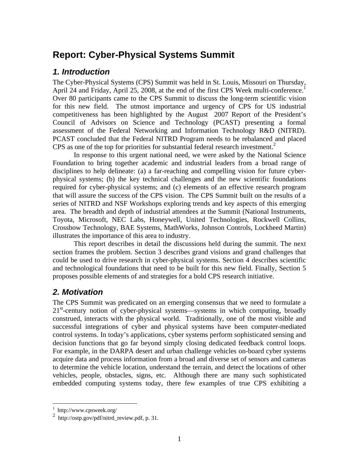## **Report: Cyber-Physical Systems Summit**

#### *1. Introduction*

The Cyber-Physical Systems (CPS) Summit was held in St. Louis, Missouri on Thursday, April 24 and Friday, April 25, 2008, at the end of the first CPS Week multi-conference.<sup>1</sup> Over 80 participants came to the CPS Summit to discuss the long-term scientific vision for this new field. The utmost importance and urgency of CPS for US industrial competitiveness has been highlighted by the August 2007 Report of the President's Council of Advisors on Science and Technology (PCAST) presenting a formal assessment of the Federal Networking and Information Technology R&D (NITRD). PCAST concluded that the Federal NITRD Program needs to be rebalanced and placed CPS as one of the top for priorities for substantial federal research investment.<sup>2</sup>

In response to this urgent national need, we were asked by the National Science Foundation to bring together academic and industrial leaders from a broad range of disciplines to help delineate: (a) a far-reaching and compelling vision for future cyberphysical systems; (b) the key technical challenges and the new scientific foundations required for cyber-physical systems; and (c) elements of an effective research program that will assure the success of the CPS vision. The CPS Summit built on the results of a series of NITRD and NSF Workshops exploring trends and key aspects of this emerging area. The breadth and depth of industrial attendees at the Summit (National Instruments, Toyota, Microsoft, NEC Labs, Honeywell, United Technologies, Rockwell Collins, Crossbow Technology, BAE Systems, MathWorks, Johnson Controls, Lockheed Martin) illustrates the importance of this area to industry.

This report describes in detail the discussions held during the summit. The next section frames the problem. Section 3 describes grand visions and grand challenges that could be used to drive research in cyber-physical systems. Section 4 describes scientific and technological foundations that need to be built for this new field. Finally, Section 5 proposes possible elements of and strategies for a bold CPS research initiative.

### *2. Motivation*

The CPS Summit was predicated on an emerging consensus that we need to formulate a 21<sup>st</sup>-century notion of cyber-physical systems—systems in which computing, broadly construed, interacts with the physical world. Traditionally, one of the most visible and successful integrations of cyber and physical systems have been computer-mediated control systems. In today's applications, cyber systems perform sophisticated sensing and decision functions that go far beyond simply closing dedicated feedback control loops. For example, in the DARPA desert and urban challenge vehicles on-board cyber systems acquire data and process information from a broad and diverse set of sensors and cameras to determine the vehicle location, understand the terrain, and detect the locations of other vehicles, people, obstacles, signs, etc. Although there are many such sophisticated embedded computing systems today, there few examples of true CPS exhibiting a

 1 http://www.cpsweek.org/

<sup>&</sup>lt;sup>2</sup> http://ostp.gov/pdf/nitrd\_review.pdf, p. 31.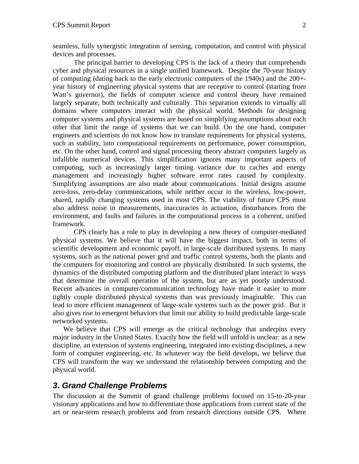seamless, fully synergistic integration of sensing, computation, and control with physical devices and processes.

The principal barrier to developing CPS is the lack of a theory that comprehends cyber and physical resources in a single unified framework. Despite the 70-year history of computing (dating back to the early electronic computers of the 1940s) and the 200+ year history of engineering physical systems that are receptive to control (starting from Watt's governor), the fields of computer science and control theory have remained largely separate, both technically and culturally. This separation extends to virtually all domains where computers interact with the physical world. Methods for designing computer systems and physical systems are based on simplifying assumptions about each other that limit the range of systems that we can build. On the one hand, computer engineers and scientists do not know how to translate requirements for physical systems, such as stability, into computational requirements on performance, power consumption, etc. On the other hand, control and signal processing theory abstract computers largely as infallible numerical devices. This simplification ignores many important aspects of computing, such as increasingly larger timing variance due to caches and energy management and increasingly higher software error rates caused by complexity. Simplifying assumptions are also made about communications. Initial designs assume zero-loss, zero-delay communications, while neither occur in the wireless, low-power, shared, rapidly changing systems used in most CPS. The viability of future CPS must also address noise in measurements, inaccuracies in actuation, disturbances from the environment, and faults and failures in the computational process in a coherent, unified framework.

CPS clearly has a role to play in developing a new theory of computer-mediated physical systems. We believe that it will have the biggest impact, both in terms of scientific development and economic payoff, in large-scale distributed systems. In many systems, such as the national power grid and traffic control systems, both the plants and the computers for monitoring and control are physically distributed. In such systems, the dynamics of the distributed computing platform and the distributed plant interact in ways that determine the overall operation of the system, but are as yet poorly understood. Recent advances in computer/communication technology have made it easier to more tightly couple distributed physical systems than was previously imaginable. This can lead to more efficient management of large-scale systems such as the power grid. But it also gives rise to emergent behaviors that limit our ability to build predictable large-scale networked systems.

We believe that CPS will emerge as the critical technology that underpins every major industry in the United States. Exactly how the field will unfold is unclear: as a new discipline, an extension of systems engineering, integrated into existing disciplines, a new form of computer engineering, etc. In whatever way the field develops, we believe that CPS will transform the way we understand the relationship between computing and the physical world.

#### *3. Grand Challenge Problems*

The discussion at the Summit of grand challenge problems focused on 15-to-20-year visionary applications and how to differentiate those applications from current state of the art or near-term research problems and from research directions outside CPS. Where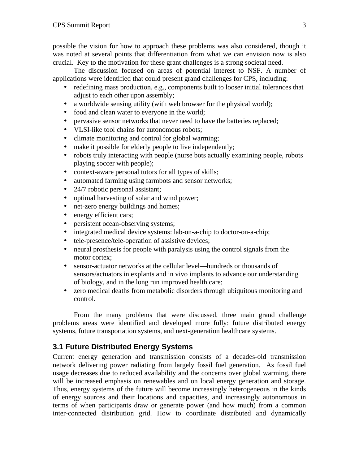possible the vision for how to approach these problems was also considered, though it was noted at several points that differentiation from what we can envision now is also crucial. Key to the motivation for these grant challenges is a strong societal need.

The discussion focused on areas of potential interest to NSF. A number of applications were identified that could present grand challenges for CPS, including:

- redefining mass production, e.g., components built to looser initial tolerances that adjust to each other upon assembly;
- a worldwide sensing utility (with web browser for the physical world);
- food and clean water to everyone in the world;
- pervasive sensor networks that never need to have the batteries replaced;
- VLSI-like tool chains for autonomous robots;
- climate monitoring and control for global warming;
- make it possible for elderly people to live independently;
- robots truly interacting with people (nurse bots actually examining people, robots playing soccer with people);
- context-aware personal tutors for all types of skills;
- automated farming using farmbots and sensor networks;
- 24/7 robotic personal assistant;
- optimal harvesting of solar and wind power;
- net-zero energy buildings and homes;
- energy efficient cars;
- persistent ocean-observing systems;
- integrated medical device systems: lab-on-a-chip to doctor-on-a-chip;
- tele-presence/tele-operation of assistive devices;
- neural prosthesis for people with paralysis using the control signals from the motor cortex;
- sensor-actuator networks at the cellular level—hundreds or thousands of sensors/actuators in explants and in vivo implants to advance our understanding of biology, and in the long run improved health care;
- zero medical deaths from metabolic disorders through ubiquitous monitoring and control.

From the many problems that were discussed, three main grand challenge problems areas were identified and developed more fully: future distributed energy systems, future transportation systems, and next-generation healthcare systems.

#### **3.1 Future Distributed Energy Systems**

Current energy generation and transmission consists of a decades-old transmission network delivering power radiating from largely fossil fuel generation. As fossil fuel usage decreases due to reduced availability and the concerns over global warming, there will be increased emphasis on renewables and on local energy generation and storage. Thus, energy systems of the future will become increasingly heterogeneous in the kinds of energy sources and their locations and capacities, and increasingly autonomous in terms of when participants draw or generate power (and how much) from a common inter-connected distribution grid. How to coordinate distributed and dynamically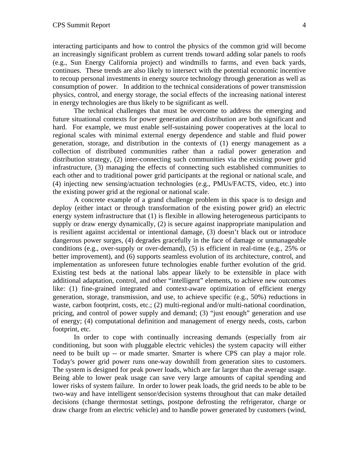interacting participants and how to control the physics of the common grid will become an increasingly significant problem as current trends toward adding solar panels to roofs (e.g., Sun Energy California project) and windmills to farms, and even back yards, continues. These trends are also likely to intersect with the potential economic incentive to recoup personal investments in energy source technology through generation as well as consumption of power. In addition to the technical considerations of power transmission physics, control, and energy storage, the social effects of the increasing national interest in energy technologies are thus likely to be significant as well.

The technical challenges that must be overcome to address the emerging and future situational contexts for power generation and distribution are both significant and hard. For example, we must enable self-sustaining power cooperatives at the local to regional scales with minimal external energy dependence and stable and fluid power generation, storage, and distribution in the contexts of (1) energy management as a collection of distributed communities rather than a radial power generation and distribution strategy, (2) inter-connecting such communities via the existing power grid infrastructure, (3) managing the effects of connecting such established communities to each other and to traditional power grid participants at the regional or national scale, and (4) injecting new sensing/actuation technologies (e.g., PMUs/FACTS, video, etc.) into the existing power grid at the regional or national scale.

A concrete example of a grand challenge problem in this space is to design and deploy (either intact or through transformation of the existing power grid) an electric energy system infrastructure that (1) is flexible in allowing heterogeneous participants to supply or draw energy dynamically, (2) is secure against inappropriate manipulation and is resilient against accidental or intentional damage, (3) doesn't black out or introduce dangerous power surges, (4) degrades gracefully in the face of damage or unmanageable conditions (e.g., over-supply or over-demand), (5) is efficient in real-time (e.g., 25% or better improvement), and (6) supports seamless evolution of its architecture, control, and implementation as unforeseen future technologies enable further evolution of the grid. Existing test beds at the national labs appear likely to be extensible in place with additional adaptation, control, and other "intelligent" elements, to achieve new outcomes like: (1) fine-grained integrated and context-aware optimization of efficient energy generation, storage, transmission, and use, to achieve specific (e.g., 50%) reductions in waste, carbon footprint, costs, etc.; (2) multi-regional and/or multi-national coordination, pricing, and control of power supply and demand; (3) "just enough" generation and use of energy; (4) computational definition and management of energy needs, costs, carbon footprint, etc.

In order to cope with continually increasing demands (especially from air conditioning, but soon with pluggable electric vehicles) the system capacity will either need to be built up -- or made smarter. Smarter is where CPS can play a major role. Today's power grid power runs one-way downhill from generation sites to customers. The system is designed for peak power loads, which are far larger than the average usage. Being able to lower peak usage can save very large amounts of capital spending and lower risks of system failure. In order to lower peak loads, the grid needs to be able to be two-way and have intelligent sensor/decision systems throughout that can make detailed decisions (change thermostat settings, postpone defrosting the refrigerator, charge or draw charge from an electric vehicle) and to handle power generated by customers (wind,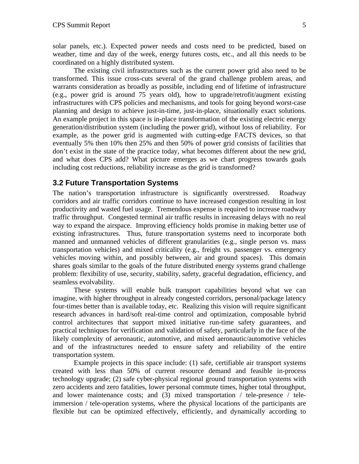solar panels, etc.). Expected power needs and costs need to be predicted, based on weather, time and day of the week, energy futures costs, etc., and all this needs to be coordinated on a highly distributed system.

The existing civil infrastructures such as the current power grid also need to be transformed. This issue cross-cuts several of the grand challenge problem areas, and warrants consideration as broadly as possible, including end of lifetime of infrastructure (e.g., power grid is around 75 years old), how to upgrade/retrofit/augment existing infrastructures with CPS policies and mechanisms, and tools for going beyond worst-case planning and design to achieve just-in-time, just-in-place, situationally exact solutions. An example project in this space is in-place transformation of the existing electric energy generation/distribution system (including the power grid), without loss of reliability. For example, as the power grid is augmented with cutting-edge FACTS devices, so that eventually 5% then 10% then 25% and then 50% of power grid consists of facilities that don't exist in the state of the practice today, what becomes different about the new grid, and what does CPS add? What picture emerges as we chart progress towards goals including cost reductions, reliability increase as the grid is transformed?

#### **3.2 Future Transportation Systems**

The nation's transportation infrastructure is significantly overstressed. Roadway corridors and air traffic corridors continue to have increased congestion resulting in lost productivity and wasted fuel usage. Tremendous expense is required to increase roadway traffic throughput. Congested terminal air traffic results in increasing delays with no real way to expand the airspace. Improving efficiency holds promise in making better use of existing infrastructures. Thus, future transportation systems need to incorporate both manned and unmanned vehicles of different granularities (e.g., single person vs. mass transportation vehicles) and mixed criticality (e.g., freight vs. passenger vs. emergency vehicles moving within, and possibly between, air and ground spaces). This domain shares goals similar to the goals of the future distributed energy systems grand challenge problem: flexibility of use, security, stability, safety, graceful degradation, efficiency, and seamless evolvability.

These systems will enable bulk transport capabilities beyond what we can imagine, with higher throughput in already congested corridors, personal/package latency four-times better than is available today, etc. Realizing this vision will require significant research advances in hard/soft real-time control and optimization, composable hybrid control architectures that support mixed initiative run-time safety guarantees, and practical techniques for verification and validation of safety, particularly in the face of the likely complexity of aeronautic, automotive, and mixed aeronautic/automotive vehicles and of the infrastructures needed to ensure safety and reliability of the entire transportation system.

Example projects in this space include: (1) safe, certifiable air transport systems created with less than 50% of current resource demand and feasible in-process technology upgrade; (2) safe cyber-physical regional ground transportation systems with zero accidents and zero fatalities, lower personal commute times, higher total throughput, and lower maintenance costs; and (3) mixed transportation / tele-presence / teleimmersion / tele-operation systems, where the physical locations of the participants are flexible but can be optimized effectively, efficiently, and dynamically according to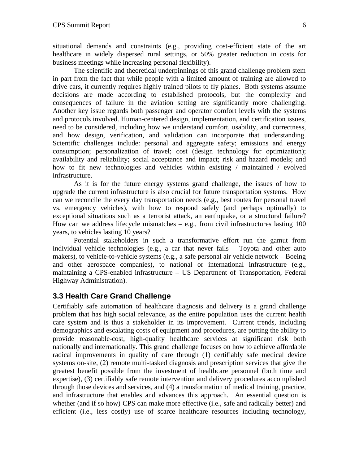situational demands and constraints (e.g., providing cost-efficient state of the art healthcare in widely dispersed rural settings, or 50% greater reduction in costs for business meetings while increasing personal flexibility).

The scientific and theoretical underpinnings of this grand challenge problem stem in part from the fact that while people with a limited amount of training are allowed to drive cars, it currently requires highly trained pilots to fly planes. Both systems assume decisions are made according to established protocols, but the complexity and consequences of failure in the aviation setting are significantly more challenging. Another key issue regards both passenger and operator comfort levels with the systems and protocols involved. Human-centered design, implementation, and certification issues, need to be considered, including how we understand comfort, usability, and correctness, and how design, verification, and validation can incorporate that understanding. Scientific challenges include: personal and aggregate safety; emissions and energy consumption; personalization of travel; cost (design technology for optimization); availability and reliability; social acceptance and impact; risk and hazard models; and how to fit new technologies and vehicles within existing / maintained / evolved infrastructure.

As it is for the future energy systems grand challenge, the issues of how to upgrade the current infrastructure is also crucial for future transportation systems. How can we reconcile the every day transportation needs (e.g., best routes for personal travel vs. emergency vehicles), with how to respond safely (and perhaps optimally) to exceptional situations such as a terrorist attack, an earthquake, or a structural failure? How can we address lifecycle mismatches  $-$  e.g., from civil infrastructures lasting 100 years, to vehicles lasting 10 years?

Potential stakeholders in such a transformative effort run the gamut from individual vehicle technologies (e.g., a car that never fails – Toyota and other auto makers), to vehicle-to-vehicle systems (e.g., a safe personal air vehicle network – Boeing and other aerospace companies), to national or international infrastructure (e.g., maintaining a CPS-enabled infrastructure – US Department of Transportation, Federal Highway Administration).

#### **3.3 Health Care Grand Challenge**

Certifiably safe automation of healthcare diagnosis and delivery is a grand challenge problem that has high social relevance, as the entire population uses the current health care system and is thus a stakeholder in its improvement. Current trends, including demographics and escalating costs of equipment and procedures, are putting the ability to provide reasonable-cost, high-quality healthcare services at significant risk both nationally and internationally. This grand challenge focuses on how to achieve affordable radical improvements in quality of care through (1) certifiably safe medical device systems on-site, (2) remote multi-tasked diagnosis and prescription services that give the greatest benefit possible from the investment of healthcare personnel (both time and expertise), (3) certifiably safe remote intervention and delivery procedures accomplished through those devices and services, and (4) a transformation of medical training, practice, and infrastructure that enables and advances this approach. An essential question is whether (and if so how) CPS can make more effective (i.e., safe and radically better) and efficient (i.e., less costly) use of scarce healthcare resources including technology,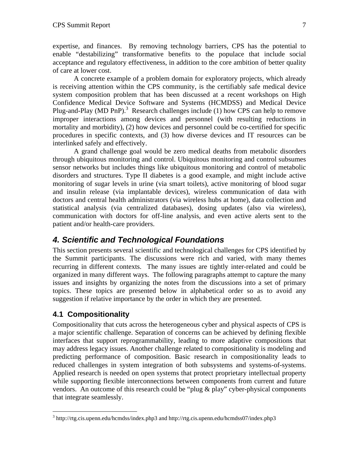expertise, and finances. By removing technology barriers, CPS has the potential to enable "destabilizing" transformative benefits to the populace that include social acceptance and regulatory effectiveness, in addition to the core ambition of better quality of care at lower cost.

A concrete example of a problem domain for exploratory projects, which already is receiving attention within the CPS community, is the certifiably safe medical device system composition problem that has been discussed at a recent workshops on High Confidence Medical Device Software and Systems (HCMDSS) and Medical Device Plug-and-Play (MD PnP).<sup>3</sup> Research challenges include (1) how CPS can help to remove improper interactions among devices and personnel (with resulting reductions in mortality and morbidity), (2) how devices and personnel could be co-certified for specific procedures in specific contexts, and (3) how diverse devices and IT resources can be interlinked safely and effectively.

A grand challenge goal would be zero medical deaths from metabolic disorders through ubiquitous monitoring and control. Ubiquitous monitoring and control subsumes sensor networks but includes things like ubiquitous monitoring and control of metabolic disorders and structures. Type II diabetes is a good example, and might include active monitoring of sugar levels in urine (via smart toilets), active monitoring of blood sugar and insulin release (via implantable devices), wireless communication of data with doctors and central health administrators (via wireless hubs at home), data collection and statistical analysis (via centralized databases), dosing updates (also via wireless), communication with doctors for off-line analysis, and even active alerts sent to the patient and/or health-care providers.

### *4. Scientific and Technological Foundations*

This section presents several scientific and technological challenges for CPS identified by the Summit participants. The discussions were rich and varied, with many themes recurring in different contexts. The many issues are tightly inter-related and could be organized in many different ways. The following paragraphs attempt to capture the many issues and insights by organizing the notes from the discussions into a set of primary topics. These topics are presented below in alphabetical order so as to avoid any suggestion if relative importance by the order in which they are presented.

#### **4.1 Compositionality**

1

Compositionality that cuts across the heterogeneous cyber and physical aspects of CPS is a major scientific challenge. Separation of concerns can be achieved by defining flexible interfaces that support reprogrammability, leading to more adaptive compositions that may address legacy issues. Another challenge related to compositionality is modeling and predicting performance of composition. Basic research in compositionality leads to reduced challenges in system integration of both subsystems and systems-of-systems. Applied research is needed on open systems that protect proprietary intellectual property while supporting flexible interconnections between components from current and future vendors. An outcome of this research could be "plug & play" cyber-physical components that integrate seamlessly.

 $3$  http://rtg.cis.upenn.edu/hcmdss/index.php3 and http://rtg.cis.upenn.edu/hcmdss07/index.php3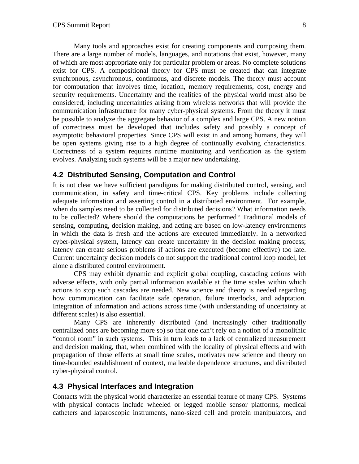Many tools and approaches exist for creating components and composing them. There are a large number of models, languages, and notations that exist, however, many of which are most appropriate only for particular problem or areas. No complete solutions exist for CPS. A compositional theory for CPS must be created that can integrate synchronous, asynchronous, continuous, and discrete models. The theory must account for computation that involves time, location, memory requirements, cost, energy and security requirements. Uncertainty and the realities of the physical world must also be considered, including uncertainties arising from wireless networks that will provide the communication infrastructure for many cyber-physical systems. From the theory it must be possible to analyze the aggregate behavior of a complex and large CPS. A new notion of correctness must be developed that includes safety and possibly a concept of asymptotic behavioral properties. Since CPS will exist in and among humans, they will be open systems giving rise to a high degree of continually evolving characteristics. Correctness of a system requires runtime monitoring and verification as the system evolves. Analyzing such systems will be a major new undertaking.

#### **4.2 Distributed Sensing, Computation and Control**

It is not clear we have sufficient paradigms for making distributed control, sensing, and communication, in safety and time-critical CPS. Key problems include collecting adequate information and asserting control in a distributed environment. For example, when do samples need to be collected for distributed decisions? What information needs to be collected? Where should the computations be performed? Traditional models of sensing, computing, decision making, and acting are based on low-latency environments in which the data is fresh and the actions are executed immediately. In a networked cyber-physical system, latency can create uncertainty in the decision making process; latency can create serious problems if actions are executed (become effective) too late. Current uncertainty decision models do not support the traditional control loop model, let alone a distributed control environment.

CPS may exhibit dynamic and explicit global coupling, cascading actions with adverse effects, with only partial information available at the time scales within which actions to stop such cascades are needed. New science and theory is needed regarding how communication can facilitate safe operation, failure interlocks, and adaptation. Integration of information and actions across time (with understanding of uncertainty at different scales) is also essential.

Many CPS are inherently distributed (and increasingly other traditionally centralized ones are becoming more so) so that one can't rely on a notion of a monolithic "control room" in such systems. This in turn leads to a lack of centralized measurement and decision making, that, when combined with the locality of physical effects and with propagation of those effects at small time scales, motivates new science and theory on time-bounded establishment of context, malleable dependence structures, and distributed cyber-physical control.

#### **4.3 Physical Interfaces and Integration**

Contacts with the physical world characterize an essential feature of many CPS. Systems with physical contacts include wheeled or legged mobile sensor platforms, medical catheters and laparoscopic instruments, nano-sized cell and protein manipulators, and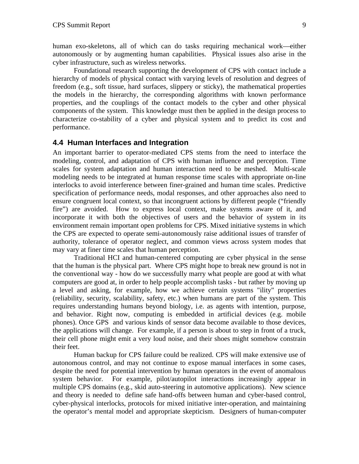human exo-skeletons, all of which can do tasks requiring mechanical work—either autonomously or by augmenting human capabilities. Physical issues also arise in the cyber infrastructure, such as wireless networks.

Foundational research supporting the development of CPS with contact include a hierarchy of models of physical contact with varying levels of resolution and degrees of freedom (e.g., soft tissue, hard surfaces, slippery or sticky), the mathematical properties the models in the hierarchy, the corresponding algorithms with known performance properties, and the couplings of the contact models to the cyber and other physical components of the system. This knowledge must then be applied in the design process to characterize co-stability of a cyber and physical system and to predict its cost and performance.

#### **4.4 Human Interfaces and Integration**

An important barrier to operator-mediated CPS stems from the need to interface the modeling, control, and adaptation of CPS with human influence and perception. Time scales for system adaptation and human interaction need to be meshed. Multi-scale modeling needs to be integrated at human response time scales with appropriate on-line interlocks to avoid interference between finer-grained and human time scales. Predictive specification of performance needs, modal responses, and other approaches also need to ensure congruent local context, so that incongruent actions by different people ("friendly fire") are avoided. How to express local context, make systems aware of it, and incorporate it with both the objectives of users and the behavior of system in its environment remain important open problems for CPS. Mixed initiative systems in which the CPS are expected to operate semi-autonomously raise additional issues of transfer of authority, tolerance of operator neglect, and common views across system modes that may vary at finer time scales that human perception.

Traditional HCI and human-centered computing are cyber physical in the sense that the human is the physical part. Where CPS might hope to break new ground is not in the conventional way - how do we successfully marry what people are good at with what computers are good at, in order to help people accomplish tasks - but rather by moving up a level and asking, for example, how we achieve certain systems "ility" properties (reliability, security, scalability, safety, etc.) when humans are part of the system. This requires understanding humans beyond biology, i.e. as agents with intention, purpose, and behavior. Right now, computing is embedded in artificial devices (e.g. mobile phones). Once GPS and various kinds of sensor data become available to those devices, the applications will change. For example, if a person is about to step in front of a truck, their cell phone might emit a very loud noise, and their shoes might somehow constrain their feet.

Human backup for CPS failure could be realized. CPS will make extensive use of autonomous control, and may not continue to expose manual interfaces in some cases, despite the need for potential intervention by human operators in the event of anomalous system behavior. For example, pilot/autopilot interactions increasingly appear in multiple CPS domains (e.g., skid auto-steering in automotive applications). New science and theory is needed to define safe hand-offs between human and cyber-based control, cyber-physical interlocks, protocols for mixed initiative inter-operation, and maintaining the operator's mental model and appropriate skepticism. Designers of human-computer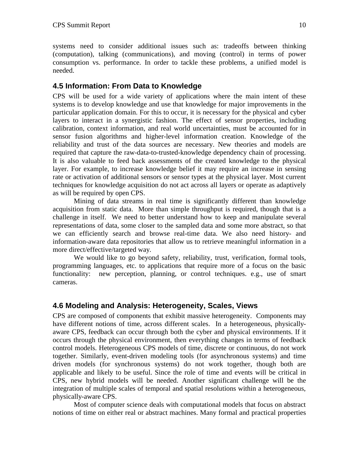#### **4.5 Information: From Data to Knowledge**

CPS will be used for a wide variety of applications where the main intent of these systems is to develop knowledge and use that knowledge for major improvements in the particular application domain. For this to occur, it is necessary for the physical and cyber layers to interact in a synergistic fashion. The effect of sensor properties, including calibration, context information, and real world uncertainties, must be accounted for in sensor fusion algorithms and higher-level information creation. Knowledge of the reliability and trust of the data sources are necessary. New theories and models are required that capture the raw-data-to-trusted-knowledge dependency chain of processing. It is also valuable to feed back assessments of the created knowledge to the physical layer. For example, to increase knowledge belief it may require an increase in sensing rate or activation of additional sensors or sensor types at the physical layer. Most current techniques for knowledge acquisition do not act across all layers or operate as adaptively as will be required by open CPS.

Mining of data streams in real time is significantly different than knowledge acquisition from static data. More than simple throughput is required, though that is a challenge in itself. We need to better understand how to keep and manipulate several representations of data, some closer to the sampled data and some more abstract, so that we can efficiently search and browse real-time data. We also need history- and information-aware data repositories that allow us to retrieve meaningful information in a more direct/effective/targeted way.

We would like to go beyond safety, reliability, trust, verification, formal tools, programming languages, etc. to applications that require more of a focus on the basic functionality: new perception, planning, or control techniques. e.g., use of smart cameras.

#### **4.6 Modeling and Analysis: Heterogeneity, Scales, Views**

CPS are composed of components that exhibit massive heterogeneity. Components may have different notions of time, across different scales. In a heterogeneous, physicallyaware CPS, feedback can occur through both the cyber and physical environments. If it occurs through the physical environment, then everything changes in terms of feedback control models. Heterogeneous CPS models of time, discrete or continuous, do not work together. Similarly, event-driven modeling tools (for asynchronous systems) and time driven models (for synchronous systems) do not work together, though both are applicable and likely to be useful. Since the role of time and events will be critical in CPS, new hybrid models will be needed. Another significant challenge will be the integration of multiple scales of temporal and spatial resolutions within a heterogeneous, physically-aware CPS.

Most of computer science deals with computational models that focus on abstract notions of time on either real or abstract machines. Many formal and practical properties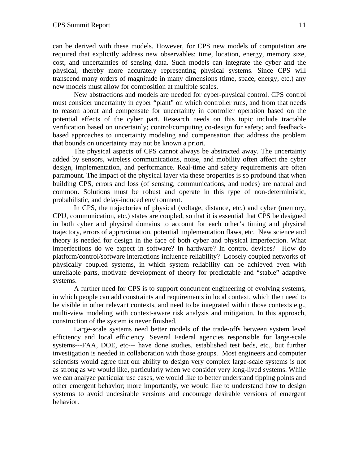can be derived with these models. However, for CPS new models of computation are required that explicitly address new observables: time, location, energy, memory size, cost, and uncertainties of sensing data. Such models can integrate the cyber and the physical, thereby more accurately representing physical systems. Since CPS will transcend many orders of magnitude in many dimensions (time, space, energy, etc.) any new models must allow for composition at multiple scales.

New abstractions and models are needed for cyber-physical control. CPS control must consider uncertainty in cyber "plant" on which controller runs, and from that needs to reason about and compensate for uncertainty in controller operation based on the potential effects of the cyber part. Research needs on this topic include tractable verification based on uncertainly; control/computing co-design for safety; and feedbackbased approaches to uncertainty modeling and compensation that address the problem that bounds on uncertainty may not be known a priori.

The physical aspects of CPS cannot always be abstracted away. The uncertainty added by sensors, wireless communications, noise, and mobility often affect the cyber design, implementation, and performance. Real-time and safety requirements are often paramount. The impact of the physical layer via these properties is so profound that when building CPS, errors and loss (of sensing, communications, and nodes) are natural and common. Solutions must be robust and operate in this type of non-deterministic, probabilistic, and delay-induced environment.

In CPS, the trajectories of physical (voltage, distance, etc.) and cyber (memory, CPU, communication, etc.) states are coupled, so that it is essential that CPS be designed in both cyber and physical domains to account for each other's timing and physical trajectory, errors of approximation, potential implementation flaws, etc. New science and theory is needed for design in the face of both cyber and physical imperfection. What imperfections do we expect in software? In hardware? In control devices? How do platform/control/software interactions influence reliability? Loosely coupled networks of physically coupled systems, in which system reliability can be achieved even with unreliable parts, motivate development of theory for predictable and "stable" adaptive systems.

A further need for CPS is to support concurrent engineering of evolving systems, in which people can add constraints and requirements in local context, which then need to be visible in other relevant contexts, and need to be integrated within those contexts e.g., multi-view modeling with context-aware risk analysis and mitigation. In this approach, construction of the system is never finished.

Large-scale systems need better models of the trade-offs between system level efficiency and local efficiency. Several Federal agencies responsible for large-scale systems---FAA, DOE, etc--- have done studies, established test beds, etc., but further investigation is needed in collaboration with those groups. Most engineers and computer scientists would agree that our ability to design very complex large-scale systems is not as strong as we would like, particularly when we consider very long-lived systems. While we can analyze particular use cases, we would like to better understand tipping points and other emergent behavior; more importantly, we would like to understand how to design systems to avoid undesirable versions and encourage desirable versions of emergent behavior.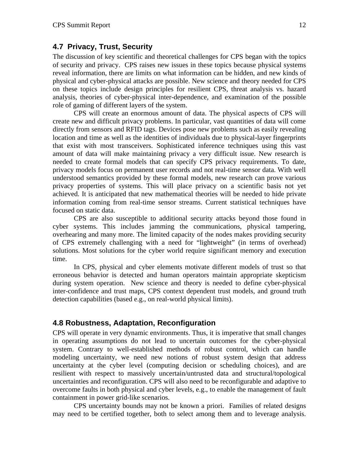#### **4.7 Privacy, Trust, Security**

The discussion of key scientific and theoretical challenges for CPS began with the topics of security and privacy. CPS raises new issues in these topics because physical systems reveal information, there are limits on what information can be hidden, and new kinds of physical and cyber-physical attacks are possible. New science and theory needed for CPS on these topics include design principles for resilient CPS, threat analysis vs. hazard analysis, theories of cyber-physical inter-dependence, and examination of the possible role of gaming of different layers of the system.

CPS will create an enormous amount of data. The physical aspects of CPS will create new and difficult privacy problems. In particular, vast quantities of data will come directly from sensors and RFID tags. Devices pose new problems such as easily revealing location and time as well as the identities of individuals due to physical-layer fingerprints that exist with most transceivers. Sophisticated inference techniques using this vast amount of data will make maintaining privacy a very difficult issue. New research is needed to create formal models that can specify CPS privacy requirements. To date, privacy models focus on permanent user records and not real-time sensor data. With well understood semantics provided by these formal models, new research can prove various privacy properties of systems. This will place privacy on a scientific basis not yet achieved. It is anticipated that new mathematical theories will be needed to hide private information coming from real-time sensor streams. Current statistical techniques have focused on static data.

CPS are also susceptible to additional security attacks beyond those found in cyber systems. This includes jamming the communications, physical tampering, overhearing and many more. The limited capacity of the nodes makes providing security of CPS extremely challenging with a need for "lightweight" (in terms of overhead) solutions. Most solutions for the cyber world require significant memory and execution time.

In CPS, physical and cyber elements motivate different models of trust so that erroneous behavior is detected and human operators maintain appropriate skepticism during system operation. New science and theory is needed to define cyber-physical inter-confidence and trust maps, CPS context dependent trust models, and ground truth detection capabilities (based e.g., on real-world physical limits).

#### **4.8 Robustness, Adaptation, Reconfiguration**

CPS will operate in very dynamic environments. Thus, it is imperative that small changes in operating assumptions do not lead to uncertain outcomes for the cyber-physical system. Contrary to well-established methods of robust control, which can handle modeling uncertainty, we need new notions of robust system design that address uncertainty at the cyber level (computing decision or scheduling choices), and are resilient with respect to massively uncertain/untrusted data and structural/topological uncertainties and reconfiguration. CPS will also need to be reconfigurable and adaptive to overcome faults in both physical and cyber levels, e.g., to enable the management of fault containment in power grid-like scenarios.

CPS uncertainty bounds may not be known a priori. Families of related designs may need to be certified together, both to select among them and to leverage analysis.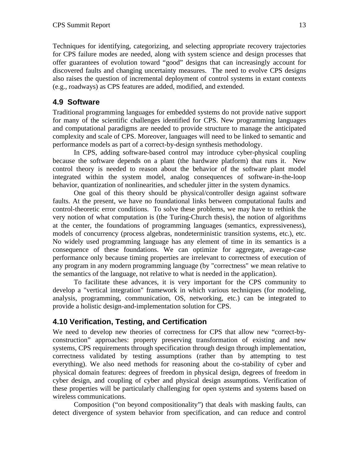Techniques for identifying, categorizing, and selecting appropriate recovery trajectories for CPS failure modes are needed, along with system science and design processes that offer guarantees of evolution toward "good" designs that can increasingly account for discovered faults and changing uncertainty measures. The need to evolve CPS designs also raises the question of incremental deployment of control systems in extant contexts (e.g., roadways) as CPS features are added, modified, and extended.

### **4.9 Software**

Traditional programming languages for embedded systems do not provide native support for many of the scientific challenges identified for CPS. New programming languages and computational paradigms are needed to provide structure to manage the anticipated complexity and scale of CPS. Moreover, languages will need to be linked to semantic and performance models as part of a correct-by-design synthesis methodology.

In CPS, adding software-based control may introduce cyber-physical coupling because the software depends on a plant (the hardware platform) that runs it. New control theory is needed to reason about the behavior of the software plant model integrated within the system model, analog consequences of software-in-the-loop behavior, quantization of nonlinearities, and scheduler jitter in the system dynamics.

One goal of this theory should be physical/controller design against software faults. At the present, we have no foundational links between computational faults and control-theoretic error conditions. To solve these problems, we may have to rethink the very notion of what computation is (the Turing-Church thesis), the notion of algorithms at the center, the foundations of programming languages (semantics, expressiveness), models of concurrency (process algebras, nondeterministic transition systems, etc.), etc. No widely used programming language has any element of time in its semantics is a consequence of these foundations. We can optimize for aggregate, average-case performance only because timing properties are irrelevant to correctness of execution of any program in any modern programming language (by "correctness" we mean relative to the semantics of the language, not relative to what is needed in the application).

To facilitate these advances, it is very important for the CPS community to develop a "vertical integration" framework in which various techniques (for modeling, analysis, programming, communication, OS, networking, etc.) can be integrated to provide a holistic design-and-implementation solution for CPS.

### **4.10 Verification, Testing, and Certification**

We need to develop new theories of correctness for CPS that allow new "correct-byconstruction" approaches: property preserving transformation of existing and new systems, CPS requirements through specification through design through implementation, correctness validated by testing assumptions (rather than by attempting to test everything). We also need methods for reasoning about the co-stability of cyber and physical domain features: degrees of freedom in physical design, degrees of freedom in cyber design, and coupling of cyber and physical design assumptions. Verification of these properties will be particularly challenging for open systems and systems based on wireless communications.

Composition ("on beyond compositionality") that deals with masking faults, can detect divergence of system behavior from specification, and can reduce and control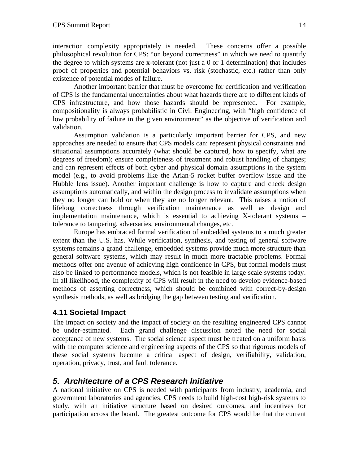interaction complexity appropriately is needed. These concerns offer a possible philosophical revolution for CPS: "on beyond correctness" in which we need to quantify the degree to which systems are x-tolerant (not just a 0 or 1 determination) that includes proof of properties and potential behaviors vs. risk (stochastic, etc.) rather than only existence of potential modes of failure.

Another important barrier that must be overcome for certification and verification of CPS is the fundamental uncertainties about what hazards there are to different kinds of CPS infrastructure, and how those hazards should be represented. For example, compositionality is always probabilistic in Civil Engineering, with "high confidence of low probability of failure in the given environment" as the objective of verification and validation.

Assumption validation is a particularly important barrier for CPS, and new approaches are needed to ensure that CPS models can: represent physical constraints and situational assumptions accurately (what should be captured, how to specify, what are degrees of freedom); ensure completeness of treatment and robust handling of changes; and can represent effects of both cyber and physical domain assumptions in the system model (e.g., to avoid problems like the Arian-5 rocket buffer overflow issue and the Hubble lens issue). Another important challenge is how to capture and check design assumptions automatically, and within the design process to invalidate assumptions when they no longer can hold or when they are no longer relevant. This raises a notion of lifelong correctness through verification maintenance as well as design and implementation maintenance, which is essential to achieving X-tolerant systems – tolerance to tampering, adversaries, environmental changes, etc.

Europe has embraced formal verification of embedded systems to a much greater extent than the U.S. has. While verification, synthesis, and testing of general software systems remains a grand challenge, embedded systems provide much more structure than general software systems, which may result in much more tractable problems. Formal methods offer one avenue of achieving high confidence in CPS, but formal models must also be linked to performance models, which is not feasible in large scale systems today. In all likelihood, the complexity of CPS will result in the need to develop evidence-based methods of asserting correctness, which should be combined with correct-by-design synthesis methods, as well as bridging the gap between testing and verification.

### **4.11 Societal Impact**

The impact on society and the impact of society on the resulting engineered CPS cannot be under-estimated. Each grand challenge discussion noted the need for social acceptance of new systems. The social science aspect must be treated on a uniform basis with the computer science and engineering aspects of the CPS so that rigorous models of these social systems become a critical aspect of design, verifiability, validation, operation, privacy, trust, and fault tolerance.

## *5. Architecture of a CPS Research Initiative*

A national initiative on CPS is needed with participants from industry, academia, and government laboratories and agencies. CPS needs to build high-cost high-risk systems to study, with an initiative structure based on desired outcomes, and incentives for participation across the board. The greatest outcome for CPS would be that the current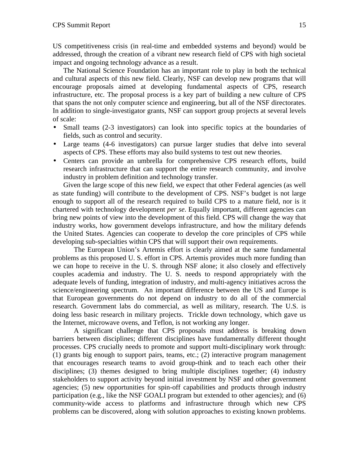US competitiveness crisis (in real-time and embedded systems and beyond) would be addressed, through the creation of a vibrant new research field of CPS with high societal impact and ongoing technology advance as a result.

The National Science Foundation has an important role to play in both the technical and cultural aspects of this new field. Clearly, NSF can develop new programs that will encourage proposals aimed at developing fundamental aspects of CPS, research infrastructure, etc. The proposal process is a key part of building a new culture of CPS that spans the not only computer science and engineering, but all of the NSF directorates. In addition to single-investigator grants, NSF can support group projects at several levels of scale:

- Small teams (2-3 investigators) can look into specific topics at the boundaries of fields, such as control and security.
- Large teams (4-6 investigators) can pursue larger studies that delve into several aspects of CPS. These efforts may also build systems to test out new theories.
- Centers can provide an umbrella for comprehensive CPS research efforts, build research infrastructure that can support the entire research community, and involve industry in problem definition and technology transfer.

Given the large scope of this new field, we expect that other Federal agencies (as well as state funding) will contribute to the development of CPS. NSF's budget is not large enough to support all of the research required to build CPS to a mature field, nor is it chartered with technology development *per se*. Equally important, different agencies can bring new points of view into the development of this field. CPS will change the way that industry works, how government develops infrastructure, and how the military defends the United States. Agencies can cooperate to develop the core principles of CPS while developing sub-specialties within CPS that will support their own requirements.

The European Union's Artemis effort is clearly aimed at the same fundamental problems as this proposed U. S. effort in CPS. Artemis provides much more funding than we can hope to receive in the U. S. through NSF alone; it also closely and effectively couples academia and industry. The U. S. needs to respond appropriately with the adequate levels of funding, integration of industry, and multi-agency initiatives across the science/engineering spectrum. An important difference between the US and Europe is that European governments do not depend on industry to do all of the commercial research. Government labs do commercial, as well as military, research. The U.S. is doing less basic research in military projects. Trickle down technology, which gave us the Internet, microwave ovens, and Teflon, is not working any longer.

A significant challenge that CPS proposals must address is breaking down barriers between disciplines; different disciplines have fundamentally different thought processes. CPS crucially needs to promote and support multi-disciplinary work through: (1) grants big enough to support pairs, teams, etc.; (2) interactive program management that encourages research teams to avoid group-think and to teach each other their disciplines; (3) themes designed to bring multiple disciplines together; (4) industry stakeholders to support activity beyond initial investment by NSF and other government agencies; (5) new opportunities for spin-off capabilities and products through industry participation (e.g., like the NSF GOALI program but extended to other agencies); and (6) community-wide access to platforms and infrastructure through which new CPS problems can be discovered, along with solution approaches to existing known problems.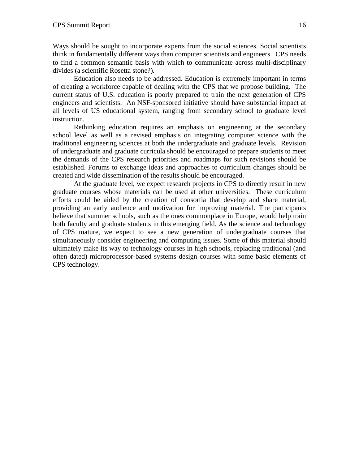Ways should be sought to incorporate experts from the social sciences. Social scientists think in fundamentally different ways than computer scientists and engineers. CPS needs to find a common semantic basis with which to communicate across multi-disciplinary divides (a scientific Rosetta stone?).

Education also needs to be addressed. Education is extremely important in terms of creating a workforce capable of dealing with the CPS that we propose building. The current status of U.S. education is poorly prepared to train the next generation of CPS engineers and scientists. An NSF-sponsored initiative should have substantial impact at all levels of US educational system, ranging from secondary school to graduate level instruction.

Rethinking education requires an emphasis on engineering at the secondary school level as well as a revised emphasis on integrating computer science with the traditional engineering sciences at both the undergraduate and graduate levels. Revision of undergraduate and graduate curricula should be encouraged to prepare students to meet the demands of the CPS research priorities and roadmaps for such revisions should be established. Forums to exchange ideas and approaches to curriculum changes should be created and wide dissemination of the results should be encouraged.

At the graduate level, we expect research projects in CPS to directly result in new graduate courses whose materials can be used at other universities. These curriculum efforts could be aided by the creation of consortia that develop and share material, providing an early audience and motivation for improving material. The participants believe that summer schools, such as the ones commonplace in Europe, would help train both faculty and graduate students in this emerging field. As the science and technology of CPS mature, we expect to see a new generation of undergraduate courses that simultaneously consider engineering and computing issues. Some of this material should ultimately make its way to technology courses in high schools, replacing traditional (and often dated) microprocessor-based systems design courses with some basic elements of CPS technology.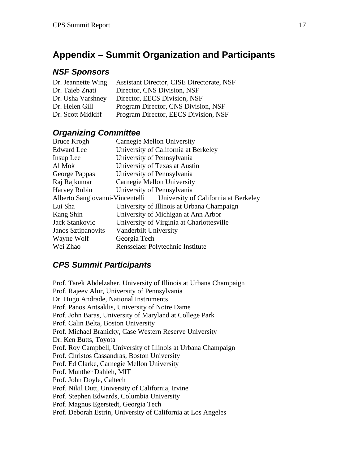# **Appendix – Summit Organization and Participants**

## *NSF Sponsors*

| Dr. Jeannette Wing | <b>Assistant Director, CISE Directorate, NSF</b> |
|--------------------|--------------------------------------------------|
| Dr. Taieb Znati    | Director, CNS Division, NSF                      |
| Dr. Usha Varshney  | Director, EECS Division, NSF                     |
| Dr. Helen Gill     | Program Director, CNS Division, NSF              |
| Dr. Scott Midkiff  | Program Director, EECS Division, NSF             |

## *Organizing Committee*

| Bruce Krogh                                                          | Carnegie Mellon University                 |
|----------------------------------------------------------------------|--------------------------------------------|
| <b>Edward</b> Lee                                                    | University of California at Berkeley       |
| Insup Lee                                                            | University of Pennsylvania                 |
| Al Mok                                                               | University of Texas at Austin              |
| George Pappas                                                        | University of Pennsylvania                 |
| Raj Rajkumar                                                         | Carnegie Mellon University                 |
| Harvey Rubin                                                         | University of Pennsylvania                 |
| Alberto Sangiovanni-Vincentelli University of California at Berkeley |                                            |
| Lui Sha                                                              | University of Illinois at Urbana Champaign |
| Kang Shin                                                            | University of Michigan at Ann Arbor        |
| Jack Stankovic                                                       | University of Virginia at Charlottesville  |
| <b>Janos Sztipanovits</b>                                            | Vanderbilt University                      |
| Wayne Wolf                                                           | Georgia Tech                               |
| Wei Zhao                                                             | Rensselaer Polytechnic Institute           |

## *CPS Summit Participants*

Prof. Tarek Abdelzaher, University of Illinois at Urbana Champaign Prof. Rajeev Alur, University of Pennsylvania Dr. Hugo Andrade, National Instruments Prof. Panos Antsaklis, University of Notre Dame Prof. John Baras, University of Maryland at College Park Prof. Calin Belta, Boston University Prof. Michael Branicky, Case Western Reserve University Dr. Ken Butts, Toyota Prof. Roy Campbell, University of Illinois at Urbana Champaign Prof. Christos Cassandras, Boston University Prof. Ed Clarke, Carnegie Mellon University Prof. Munther Dahleh, MIT Prof. John Doyle, Caltech Prof. Nikil Dutt, University of California, Irvine Prof. Stephen Edwards, Columbia University Prof. Magnus Egerstedt, Georgia Tech Prof. Deborah Estrin, University of California at Los Angeles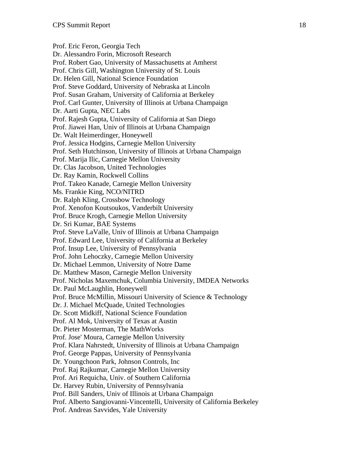Prof. Eric Feron, Georgia Tech Dr. Alessandro Forin, Microsoft Research Prof. Robert Gao, University of Massachusetts at Amherst Prof. Chris Gill, Washington University of St. Louis Dr. Helen Gill, National Science Foundation Prof. Steve Goddard, University of Nebraska at Lincoln Prof. Susan Graham, University of California at Berkeley Prof. Carl Gunter, University of Illinois at Urbana Champaign Dr. Aarti Gupta, NEC Labs Prof. Rajesh Gupta, University of California at San Diego Prof. Jiawei Han, Univ of Illinois at Urbana Champaign Dr. Walt Heimerdinger, Honeywell Prof. Jessica Hodgins, Carnegie Mellon University Prof. Seth Hutchinson, University of Illinois at Urbana Champaign Prof. Marija Ilic, Carnegie Mellon University Dr. Clas Jacobson, United Technologies Dr. Ray Kamin, Rockwell Collins Prof. Takeo Kanade, Carnegie Mellon University Ms. Frankie King, NCO/NITRD Dr. Ralph Kling, Crossbow Technology Prof. Xenofon Koutsoukos, Vanderbilt University Prof. Bruce Krogh, Carnegie Mellon University Dr. Sri Kumar, BAE Systems Prof. Steve LaValle, Univ of Illinois at Urbana Champaign Prof. Edward Lee, University of California at Berkeley Prof. Insup Lee, University of Pennsylvania Prof. John Lehoczky, Carnegie Mellon University Dr. Michael Lemmon, University of Notre Dame Dr. Matthew Mason, Carnegie Mellon University Prof. Nicholas Maxemchuk, Columbia University, IMDEA Networks Dr. Paul McLaughlin, Honeywell Prof. Bruce McMillin, Missouri University of Science & Technology Dr. J. Michael McQuade, United Technologies Dr. Scott Midkiff, National Science Foundation Prof. Al Mok, University of Texas at Austin Dr. Pieter Mosterman, The MathWorks Prof. Jose' Moura, Carnegie Mellon University Prof. Klara Nahrstedt, University of Illinois at Urbana Champaign Prof. George Pappas, University of Pennsylvania Dr. Youngchoon Park, Johnson Controls, Inc Prof. Raj Rajkumar, Carnegie Mellon University Prof. Ari Requicha, Univ. of Southern California Dr. Harvey Rubin, University of Pennsylvania Prof. Bill Sanders, Univ of Illinois at Urbana Champaign Prof. Alberto Sangiovanni-Vincentelli, University of California Berkeley Prof. Andreas Savvides, Yale University